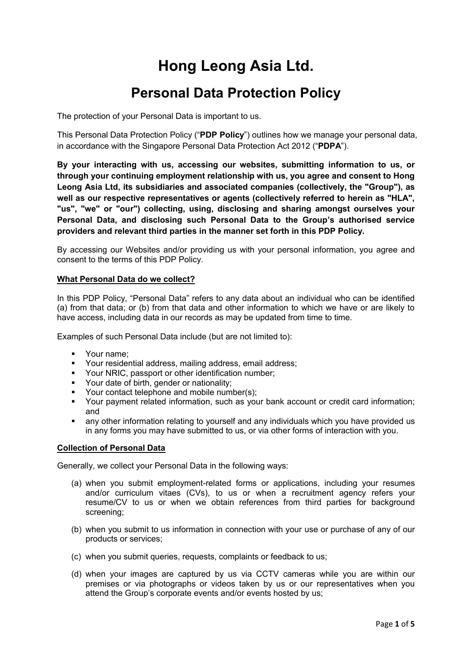# **Hong Leong Asia Ltd.**

## **Personal Data Protection Policy**

The protection of your Personal Data is important to us.

This Personal Data Protection Policy ("**PDP Policy**") outlines how we manage your personal data, in accordance with the Singapore Personal Data Protection Act 2012 ("**PDPA**").

**By your interacting with us, accessing our websites, submitting information to us, or through your continuing employment relationship with us, you agree and consent to Hong Leong Asia Ltd, its subsidiaries and associated companies (collectively, the "Group"), as well as our respective representatives or agents (collectively referred to herein as "HLA", "us", "we" or "our") collecting, using, disclosing and sharing amongst ourselves your Personal Data, and disclosing such Personal Data to the Group's authorised service providers and relevant third parties in the manner set forth in this PDP Policy.**

By accessing our Websites and/or providing us with your personal information, you agree and consent to the terms of this PDP Policy.

#### **What Personal Data do we collect?**

In this PDP Policy, "Personal Data" refers to any data about an individual who can be identified (a) from that data; or (b) from that data and other information to which we have or are likely to have access, including data in our records as may be updated from time to time.

Examples of such Personal Data include (but are not limited to):

- **•** Your name:
- Your residential address, mailing address, email address;
- Your NRIC, passport or other identification number;
- **•** Your date of birth, gender or nationality;
- Your contact telephone and mobile number(s):
- Your payment related information, such as your bank account or credit card information; and
- any other information relating to yourself and any individuals which you have provided us in any forms you may have submitted to us, or via other forms of interaction with you.

#### **Collection of Personal Data**

Generally, we collect your Personal Data in the following ways:

- (a) when you submit employment-related forms or applications, including your resumes and/or curriculum vitaes (CVs), to us or when a recruitment agency refers your resume/CV to us or when we obtain references from third parties for background screening;
- (b) when you submit to us information in connection with your use or purchase of any of our products or services;
- (c) when you submit queries, requests, complaints or feedback to us;
- (d) when your images are captured by us via CCTV cameras while you are within our premises or via photographs or videos taken by us or our representatives when you attend the Group's corporate events and/or events hosted by us;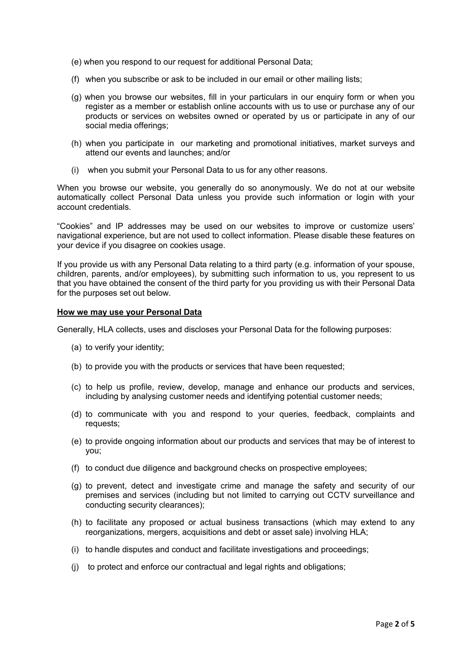- (e) when you respond to our request for additional Personal Data;
- (f) when you subscribe or ask to be included in our email or other mailing lists;
- (g) when you browse our websites, fill in your particulars in our enquiry form or when you register as a member or establish online accounts with us to use or purchase any of our products or services on websites owned or operated by us or participate in any of our social media offerings;
- (h) when you participate in our marketing and promotional initiatives, market surveys and attend our events and launches; and/or
- (i) when you submit your Personal Data to us for any other reasons.

When you browse our website, you generally do so anonymously. We do not at our website automatically collect Personal Data unless you provide such information or login with your account credentials.

"Cookies" and IP addresses may be used on our websites to improve or customize users' navigational experience, but are not used to collect information. Please disable these features on your device if you disagree on cookies usage.

If you provide us with any Personal Data relating to a third party (e.g. information of your spouse, children, parents, and/or employees), by submitting such information to us, you represent to us that you have obtained the consent of the third party for you providing us with their Personal Data for the purposes set out below.

#### **How we may use your Personal Data**

Generally, HLA collects, uses and discloses your Personal Data for the following purposes:

- (a) to verify your identity;
- (b) to provide you with the products or services that have been requested;
- (c) to help us profile, review, develop, manage and enhance our products and services, including by analysing customer needs and identifying potential customer needs;
- (d) to communicate with you and respond to your queries, feedback, complaints and requests;
- (e) to provide ongoing information about our products and services that may be of interest to you;
- (f) to conduct due diligence and background checks on prospective employees;
- (g) to prevent, detect and investigate crime and manage the safety and security of our premises and services (including but not limited to carrying out CCTV surveillance and conducting security clearances);
- (h) to facilitate any proposed or actual business transactions (which may extend to any reorganizations, mergers, acquisitions and debt or asset sale) involving HLA;
- (i) to handle disputes and conduct and facilitate investigations and proceedings;
- (j) to protect and enforce our contractual and legal rights and obligations;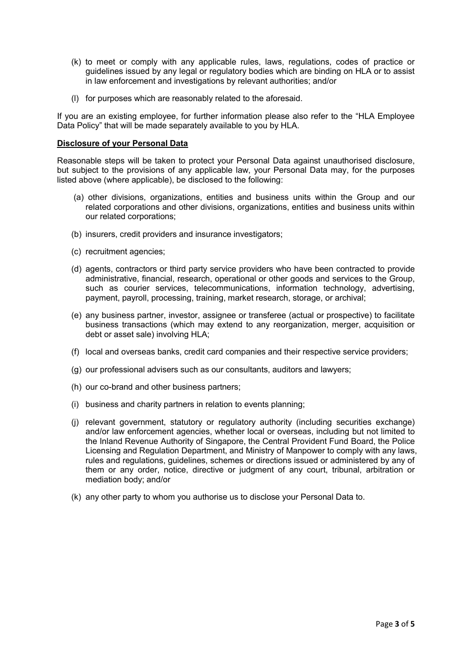- (k) to meet or comply with any applicable rules, laws, regulations, codes of practice or guidelines issued by any legal or regulatory bodies which are binding on HLA or to assist in law enforcement and investigations by relevant authorities; and/or
- (l) for purposes which are reasonably related to the aforesaid.

If you are an existing employee, for further information please also refer to the "HLA Employee Data Policy" that will be made separately available to you by HLA.

#### **Disclosure of your Personal Data**

Reasonable steps will be taken to protect your Personal Data against unauthorised disclosure, but subject to the provisions of any applicable law, your Personal Data may, for the purposes listed above (where applicable), be disclosed to the following:

- (a) other divisions, organizations, entities and business units within the Group and our related corporations and other divisions, organizations, entities and business units within our related corporations;
- (b) insurers, credit providers and insurance investigators;
- (c) recruitment agencies;
- (d) agents, contractors or third party service providers who have been contracted to provide administrative, financial, research, operational or other goods and services to the Group, such as courier services, telecommunications, information technology, advertising, payment, payroll, processing, training, market research, storage, or archival;
- (e) any business partner, investor, assignee or transferee (actual or prospective) to facilitate business transactions (which may extend to any reorganization, merger, acquisition or debt or asset sale) involving HLA;
- (f) local and overseas banks, credit card companies and their respective service providers;
- (g) our professional advisers such as our consultants, auditors and lawyers;
- (h) our co-brand and other business partners;
- (i) business and charity partners in relation to events planning;
- (j) relevant government, statutory or regulatory authority (including securities exchange) and/or law enforcement agencies, whether local or overseas, including but not limited to the Inland Revenue Authority of Singapore, the Central Provident Fund Board, the Police Licensing and Regulation Department, and Ministry of Manpower to comply with any laws, rules and regulations, guidelines, schemes or directions issued or administered by any of them or any order, notice, directive or judgment of any court, tribunal, arbitration or mediation body; and/or
- (k) any other party to whom you authorise us to disclose your Personal Data to.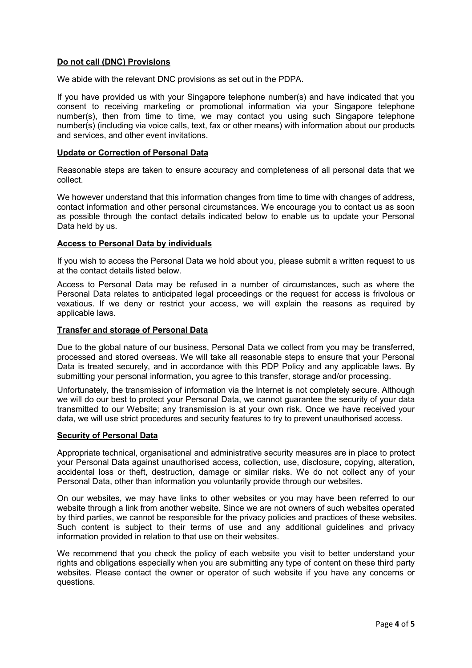#### **Do not call (DNC) Provisions**

We abide with the relevant DNC provisions as set out in the PDPA.

If you have provided us with your Singapore telephone number(s) and have indicated that you consent to receiving marketing or promotional information via your Singapore telephone number(s), then from time to time, we may contact you using such Singapore telephone number(s) (including via voice calls, text, fax or other means) with information about our products and services, and other event invitations.

#### **Update or Correction of Personal Data**

Reasonable steps are taken to ensure accuracy and completeness of all personal data that we collect.

We however understand that this information changes from time to time with changes of address, contact information and other personal circumstances. We encourage you to contact us as soon as possible through the contact details indicated below to enable us to update your Personal Data held by us.

#### **Access to Personal Data by individuals**

If you wish to access the Personal Data we hold about you, please submit a written request to us at the contact details listed below.

Access to Personal Data may be refused in a number of circumstances, such as where the Personal Data relates to anticipated legal proceedings or the request for access is frivolous or vexatious. If we deny or restrict your access, we will explain the reasons as required by applicable laws.

#### **Transfer and storage of Personal Data**

Due to the global nature of our business, Personal Data we collect from you may be transferred, processed and stored overseas. We will take all reasonable steps to ensure that your Personal Data is treated securely, and in accordance with this PDP Policy and any applicable laws. By submitting your personal information, you agree to this transfer, storage and/or processing.

Unfortunately, the transmission of information via the Internet is not completely secure. Although we will do our best to protect your Personal Data, we cannot guarantee the security of your data transmitted to our Website; any transmission is at your own risk. Once we have received your data, we will use strict procedures and security features to try to prevent unauthorised access.

#### **Security of Personal Data**

Appropriate technical, organisational and administrative security measures are in place to protect your Personal Data against unauthorised access, collection, use, disclosure, copying, alteration, accidental loss or theft, destruction, damage or similar risks. We do not collect any of your Personal Data, other than information you voluntarily provide through our websites.

On our websites, we may have links to other websites or you may have been referred to our website through a link from another website. Since we are not owners of such websites operated by third parties, we cannot be responsible for the privacy policies and practices of these websites. Such content is subject to their terms of use and any additional guidelines and privacy information provided in relation to that use on their websites.

We recommend that you check the policy of each website you visit to better understand your rights and obligations especially when you are submitting any type of content on these third party websites. Please contact the owner or operator of such website if you have any concerns or questions.